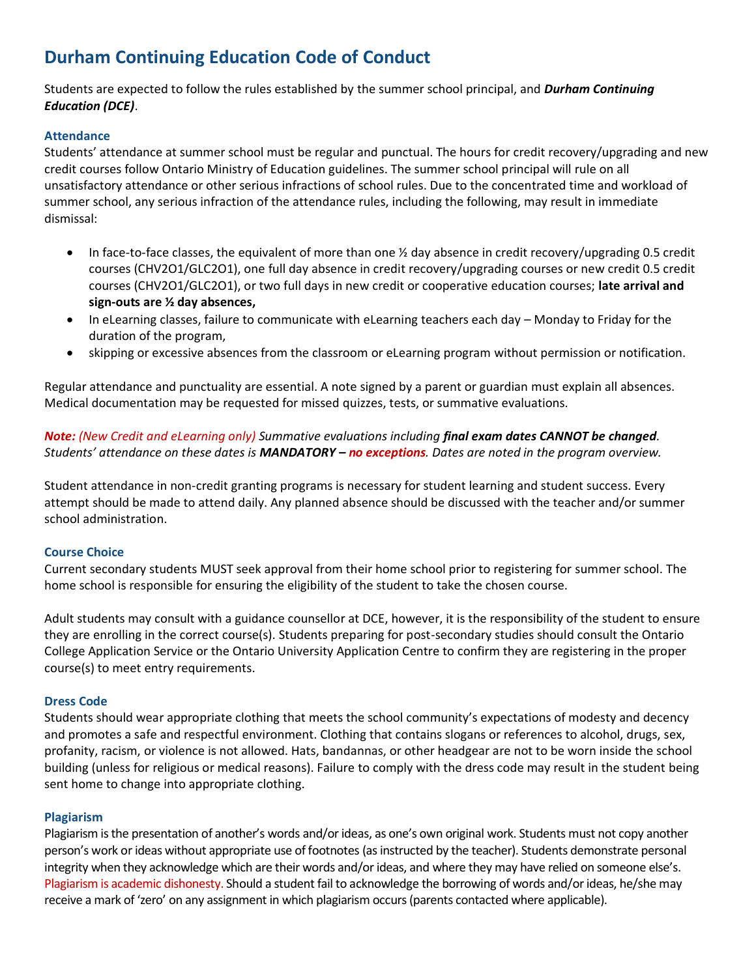# **Durham Continuing Education Code of Conduct**

Students are expected to follow the rules established by the summer school principal, and *Durham Continuing Education (DCE)*.

# **Attendance**

Students' attendance at summer school must be regular and punctual. The hours for credit recovery/upgrading and new credit courses follow Ontario Ministry of Education guidelines. The summer school principal will rule on all unsatisfactory attendance or other serious infractions of school rules. Due to the concentrated time and workload of summer school, any serious infraction of the attendance rules, including the following, may result in immediate dismissal:

- In face-to-face classes, the equivalent of more than one  $\frac{1}{2}$  day absence in credit recovery/upgrading 0.5 credit courses (CHV2O1/GLC2O1), one full day absence in credit recovery/upgrading courses or new credit 0.5 credit courses (CHV2O1/GLC2O1), or two full days in new credit or cooperative education courses; **late arrival and sign-outs are ½ day absences,**
- In eLearning classes, failure to communicate with eLearning teachers each day Monday to Friday for the duration of the program,
- skipping or excessive absences from the classroom or eLearning program without permission or notification.

Regular attendance and punctuality are essential. A note signed by a parent or guardian must explain all absences. Medical documentation may be requested for missed quizzes, tests, or summative evaluations.

# *Note: (New Credit and eLearning only) Summative evaluations including final exam dates CANNOT be changed. Students' attendance on these dates is MANDATORY – no exceptions. Dates are noted in the program overview.*

Student attendance in non-credit granting programs is necessary for student learning and student success. Every attempt should be made to attend daily. Any planned absence should be discussed with the teacher and/or summer school administration.

## **Course Choice**

Current secondary students MUST seek approval from their home school prior to registering for summer school. The home school is responsible for ensuring the eligibility of the student to take the chosen course.

Adult students may consult with a guidance counsellor at DCE, however, it is the responsibility of the student to ensure they are enrolling in the correct course(s). Students preparing for post-secondary studies should consult the Ontario College Application Service or the Ontario University Application Centre to confirm they are registering in the proper course(s) to meet entry requirements.

## **Dress Code**

Students should wear appropriate clothing that meets the school community's expectations of modesty and decency and promotes a safe and respectful environment. Clothing that contains slogans or references to alcohol, drugs, sex, profanity, racism, or violence is not allowed. Hats, bandannas, or other headgear are not to be worn inside the school building (unless for religious or medical reasons). Failure to comply with the dress code may result in the student being sent home to change into appropriate clothing.

## **Plagiarism**

Plagiarism is the presentation of another's words and/or ideas, as one's own original work. Students must not copy another person's work or ideas without appropriate use of footnotes (as instructed by the teacher). Students demonstrate personal integrity when they acknowledge which are their words and/or ideas, and where they may have relied on someone else's. Plagiarism is academic dishonesty. Should a student fail to acknowledge the borrowing of words and/or ideas, he/she may receive a mark of 'zero' on any assignment in which plagiarism occurs (parents contacted where applicable).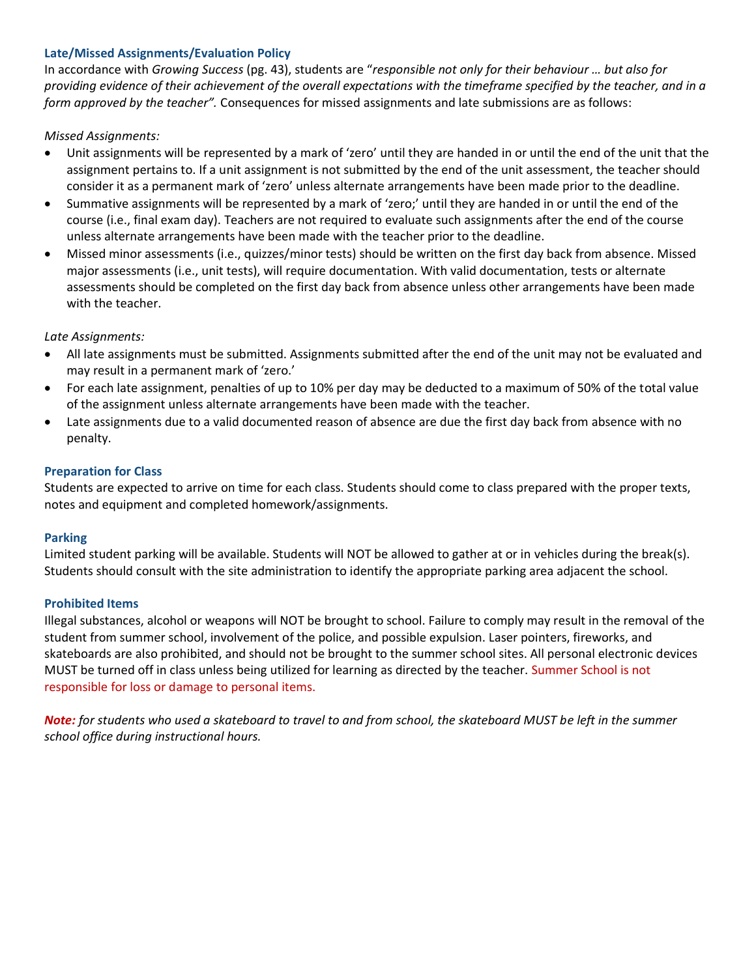## **Late/Missed Assignments/Evaluation Policy**

In accordance with *Growing Success* (pg. 43), students are "*responsible not only for their behaviour … but also for providing evidence of their achievement of the overall expectations with the timeframe specified by the teacher, and in a form approved by the teacher".* Consequences for missed assignments and late submissions are as follows:

# *Missed Assignments:*

- Unit assignments will be represented by a mark of 'zero' until they are handed in or until the end of the unit that the assignment pertains to. If a unit assignment is not submitted by the end of the unit assessment, the teacher should consider it as a permanent mark of 'zero' unless alternate arrangements have been made prior to the deadline.
- Summative assignments will be represented by a mark of 'zero;' until they are handed in or until the end of the course (i.e., final exam day). Teachers are not required to evaluate such assignments after the end of the course unless alternate arrangements have been made with the teacher prior to the deadline.
- Missed minor assessments (i.e., quizzes/minor tests) should be written on the first day back from absence. Missed major assessments (i.e., unit tests), will require documentation. With valid documentation, tests or alternate assessments should be completed on the first day back from absence unless other arrangements have been made with the teacher.

# *Late Assignments:*

- All late assignments must be submitted. Assignments submitted after the end of the unit may not be evaluated and may result in a permanent mark of 'zero.'
- For each late assignment, penalties of up to 10% per day may be deducted to a maximum of 50% of the total value of the assignment unless alternate arrangements have been made with the teacher.
- Late assignments due to a valid documented reason of absence are due the first day back from absence with no penalty.

# **Preparation for Class**

Students are expected to arrive on time for each class. Students should come to class prepared with the proper texts, notes and equipment and completed homework/assignments.

## **Parking**

Limited student parking will be available. Students will NOT be allowed to gather at or in vehicles during the break(s). Students should consult with the site administration to identify the appropriate parking area adjacent the school.

## **Prohibited Items**

Illegal substances, alcohol or weapons will NOT be brought to school. Failure to comply may result in the removal of the student from summer school, involvement of the police, and possible expulsion. Laser pointers, fireworks, and skateboards are also prohibited, and should not be brought to the summer school sites. All personal electronic devices MUST be turned off in class unless being utilized for learning as directed by the teacher. Summer School is not responsible for loss or damage to personal items.

*Note: for students who used a skateboard to travel to and from school, the skateboard MUST be left in the summer school office during instructional hours.*